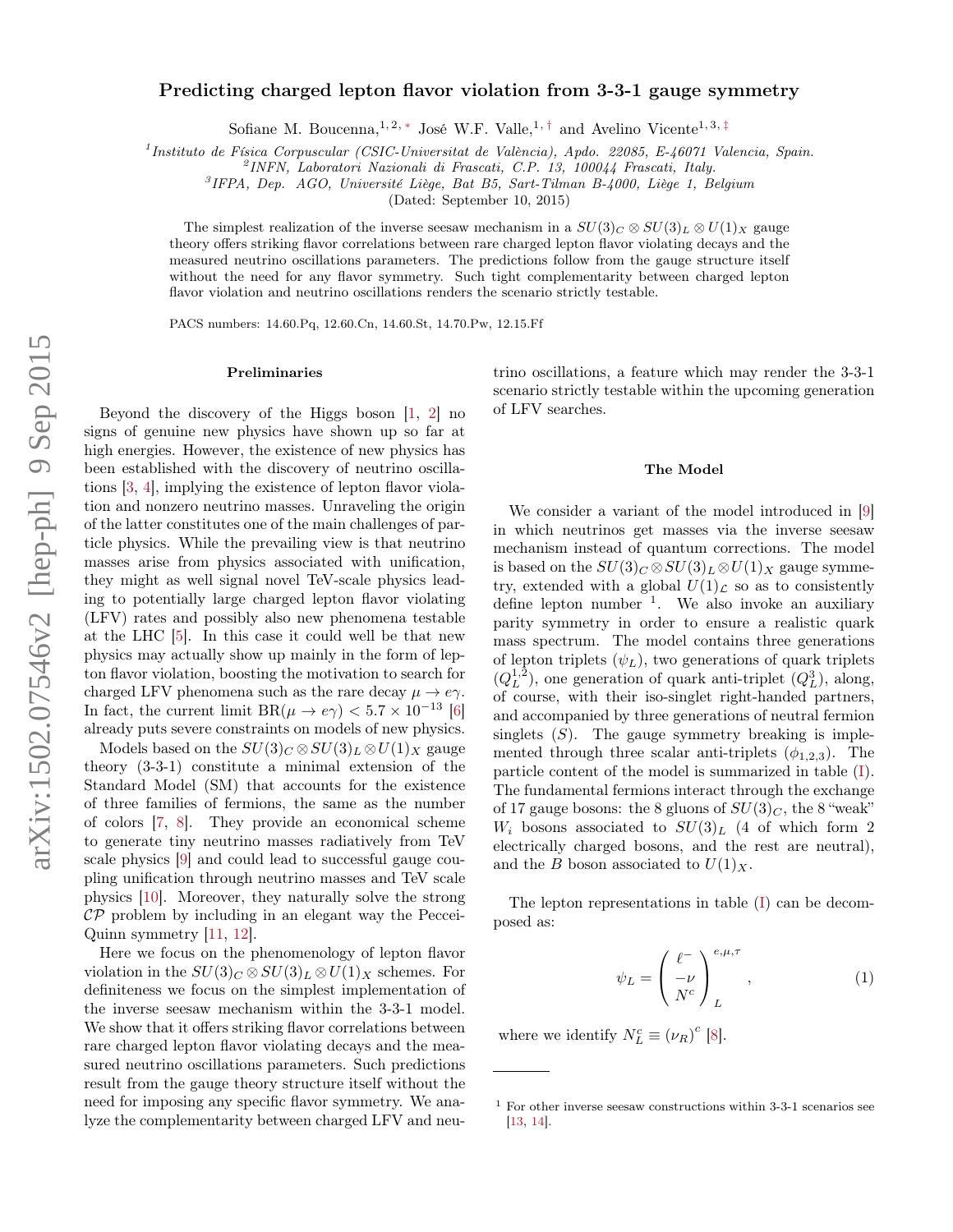# Predicting charged lepton flavor violation from 3-3-1 gauge symmetry

Sofiane M. Boucenna, <sup>1, 2, [∗](#page-5-0)</sup> José W.F. Valle, <sup>1,[†](#page-5-1)</sup> and Avelino Vicente<sup>1, 3,[‡](#page-5-2)</sup>

<sup>1</sup> Instituto de Física Corpuscular (CSIC-Universitat de València), Apdo. 22085, E-46071 Valencia, Spain.

2 INFN, Laboratori Nazionali di Frascati, C.P. 13, 100044 Frascati, Italy.

<sup>3</sup>IFPA, Dep. AGO, Université Liège, Bat B5, Sart-Tilman B-4000, Liège 1, Belgium

(Dated: September 10, 2015)

The simplest realization of the inverse seesaw mechanism in a  $SU(3)<sub>C</sub> \otimes SU(3)<sub>L</sub> \otimes U(1)<sub>X</sub>$  gauge theory offers striking flavor correlations between rare charged lepton flavor violating decays and the measured neutrino oscillations parameters. The predictions follow from the gauge structure itself without the need for any flavor symmetry. Such tight complementarity between charged lepton flavor violation and neutrino oscillations renders the scenario strictly testable.

PACS numbers: 14.60.Pq, 12.60.Cn, 14.60.St, 14.70.Pw, 12.15.Ff

#### Preliminaries

Beyond the discovery of the Higgs boson [\[1,](#page-5-3) [2\]](#page-5-4) no signs of genuine new physics have shown up so far at high energies. However, the existence of new physics has been established with the discovery of neutrino oscillations [\[3,](#page-5-5) [4\]](#page-5-6), implying the existence of lepton flavor violation and nonzero neutrino masses. Unraveling the origin of the latter constitutes one of the main challenges of particle physics. While the prevailing view is that neutrino masses arise from physics associated with unification, they might as well signal novel TeV-scale physics leading to potentially large charged lepton flavor violating (LFV) rates and possibly also new phenomena testable at the LHC [\[5\]](#page-5-7). In this case it could well be that new physics may actually show up mainly in the form of lepton flavor violation, boosting the motivation to search for charged LFV phenomena such as the rare decay  $\mu \to e\gamma$ . In fact, the current limit  $BR(\mu \to e\gamma) < 5.7 \times 10^{-13}$  [\[6\]](#page-5-8) already puts severe constraints on models of new physics.

Models based on the  $SU(3)_C \otimes SU(3)_L \otimes U(1)_X$  gauge theory (3-3-1) constitute a minimal extension of the Standard Model (SM) that accounts for the existence of three families of fermions, the same as the number of colors [\[7,](#page-5-9) [8\]](#page-5-10). They provide an economical scheme to generate tiny neutrino masses radiatively from TeV scale physics [\[9\]](#page-5-11) and could lead to successful gauge coupling unification through neutrino masses and TeV scale physics [\[10\]](#page-5-12). Moreover, they naturally solve the strong  $\mathcal{CP}$  problem by including in an elegant way the Peccei-Quinn symmetry [\[11,](#page-5-13) [12\]](#page-5-14).

Here we focus on the phenomenology of lepton flavor violation in the  $SU(3)_C \otimes SU(3)_L \otimes U(1)_X$  schemes. For definiteness we focus on the simplest implementation of the inverse seesaw mechanism within the 3-3-1 model. We show that it offers striking flavor correlations between rare charged lepton flavor violating decays and the measured neutrino oscillations parameters. Such predictions result from the gauge theory structure itself without the need for imposing any specific flavor symmetry. We analyze the complementarity between charged LFV and neu-

trino oscillations, a feature which may render the 3-3-1 scenario strictly testable within the upcoming generation of LFV searches.

### The Model

We consider a variant of the model introduced in [\[9\]](#page-5-11) in which neutrinos get masses via the inverse seesaw mechanism instead of quantum corrections. The model is based on the  $SU(3)_C \otimes SU(3)_L \otimes U(1)_X$  gauge symmetry, extended with a global  $U(1)<sub>L</sub>$  so as to consistently define lepton number <sup>1</sup> . We also invoke an auxiliary parity symmetry in order to ensure a realistic quark mass spectrum. The model contains three generations of lepton triplets  $(\psi_L)$ , two generations of quark triplets  $(Q_L^{1,2})$ , one generation of quark anti-triplet  $(Q_L^3)$ , along, of course, with their iso-singlet right-handed partners, and accompanied by three generations of neutral fermion singlets  $(S)$ . The gauge symmetry breaking is implemented through three scalar anti-triplets  $(\phi_{1,2,3})$ . The particle content of the model is summarized in table [\(I\)](#page-1-0). The fundamental fermions interact through the exchange of 17 gauge bosons: the 8 gluons of  $SU(3)<sub>C</sub>$ , the 8 "weak"  $W_i$  bosons associated to  $SU(3)_L$  (4 of which form 2 electrically charged bosons, and the rest are neutral), and the B boson associated to  $U(1)_X$ .

The lepton representations in table [\(I\)](#page-1-0) can be decomposed as:

$$
\psi_L = \begin{pmatrix} \ell^- \\ -\nu \\ N^c \end{pmatrix}^{e,\mu,\tau}_L, \qquad (1)
$$

where we identify  $N_L^c \equiv (\nu_R)^c$  [\[8\]](#page-5-10).

 $^{\rm 1}$  For other inverse seesaw constructions within 3-3-1 scenarios see [\[13,](#page-5-15) [14\]](#page-5-16).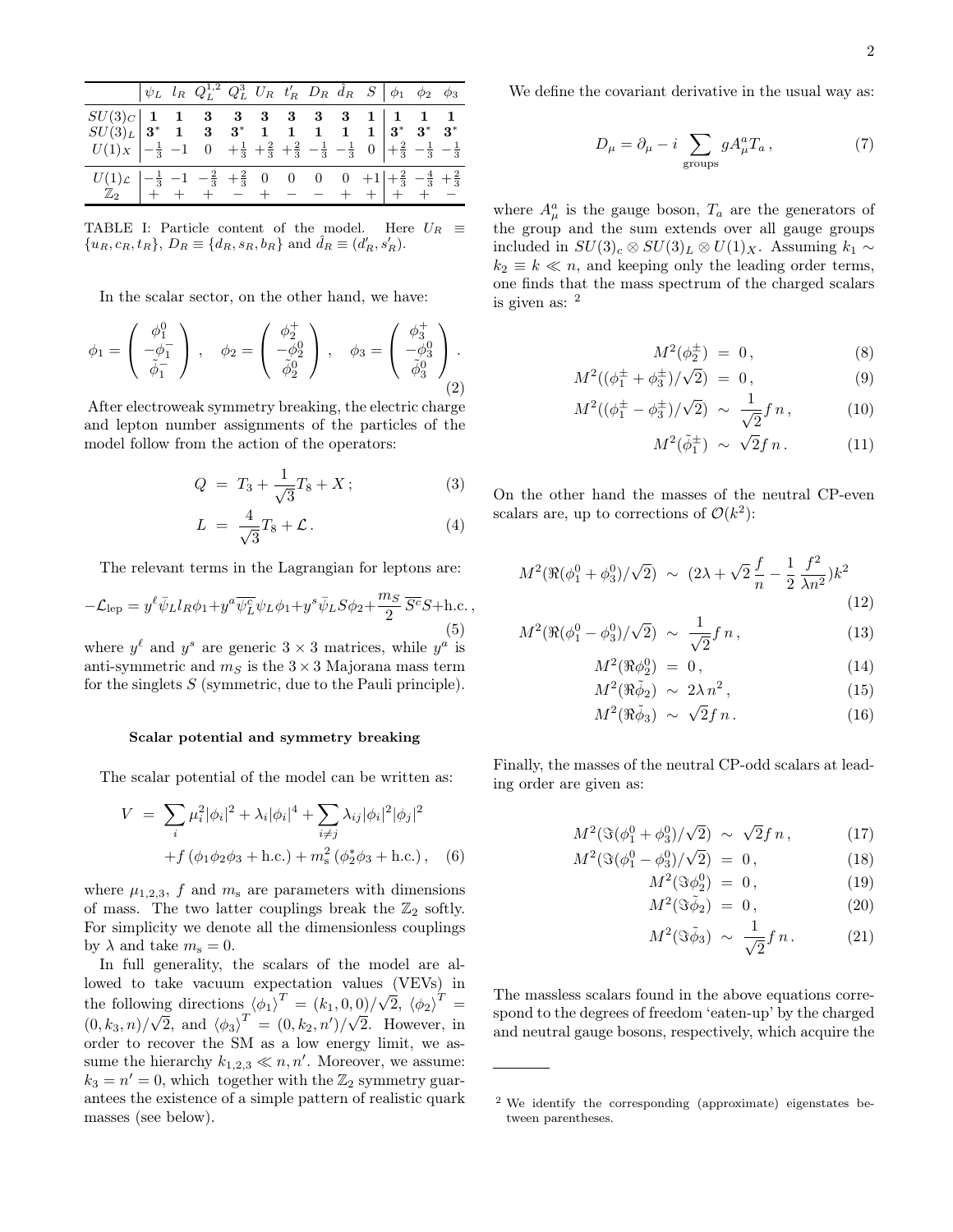| $\begin{array}{c cccccccccccccccccc} SU(3)_C & 1 & 1 & 3 & 3 & 3 & 3 & 3 & 3 & 1 & 1 & 1 & 1 \\ SU(3)_L & 3^* & 1 & 3 & 3^* & 1 & 1 & 1 & 1 & 1 & 1 & 3^* & 3^* & 3^* \\ U(1)_X & -\frac{1}{3} & -1 & 0 & +\frac{1}{3} & +\frac{2}{3} & +\frac{2}{3} & -\frac{1}{3} & -\frac{1}{3} & 0 & +\frac{2}{3} & -\frac{1}{3} & -\frac{1}{3} \end{array}$ |  |  |  |  |  |  |
|--------------------------------------------------------------------------------------------------------------------------------------------------------------------------------------------------------------------------------------------------------------------------------------------------------------------------------------------------|--|--|--|--|--|--|
|                                                                                                                                                                                                                                                                                                                                                  |  |  |  |  |  |  |
|                                                                                                                                                                                                                                                                                                                                                  |  |  |  |  |  |  |
| $\begin{array}{c ccccccccc} U(1)_{\mathcal{L}} & -\frac{1}{3} & -1 & -\frac{2}{3} & +\frac{2}{3} & 0 & 0 & 0 & 0 & +1 & +\frac{2}{3} & -\frac{4}{3} & +\frac{2}{3} \\ \hline \mathbb{Z}_2 & + & + & + & - & + & - & - & + & + & + & + & - \end{array}$                                                                                           |  |  |  |  |  |  |
|                                                                                                                                                                                                                                                                                                                                                  |  |  |  |  |  |  |

<span id="page-1-0"></span>TABLE I: Particle content of the model. Here  $U_R \equiv$  ${u_R, c_R, t_R}, D_R \equiv {d_R, s_R, b_R} \text{ and } \hat{d}_R \equiv (d'_R, s'_R).$ 

In the scalar sector, on the other hand, we have:

$$
\phi_1 = \begin{pmatrix} \phi_1^0 \\ -\phi_1^- \\ \tilde{\phi}_1^- \end{pmatrix}, \quad \phi_2 = \begin{pmatrix} \phi_2^+ \\ -\phi_2^0 \\ \tilde{\phi}_2^0 \end{pmatrix}, \quad \phi_3 = \begin{pmatrix} \phi_3^+ \\ -\phi_3^0 \\ \tilde{\phi}_3^0 \end{pmatrix}.
$$

After electroweak symmetry breaking, the electric charge and lepton number assignments of the particles of the model follow from the action of the operators:

$$
Q = T_3 + \frac{1}{\sqrt{3}}T_8 + X; \tag{3}
$$

$$
L = \frac{4}{\sqrt{3}}T_8 + \mathcal{L} \,. \tag{4}
$$

The relevant terms in the Lagrangian for leptons are:

<span id="page-1-1"></span>
$$
-\mathcal{L}_{\text{lep}} = y^{\ell} \bar{\psi}_L l_R \phi_1 + y^a \overline{\psi_L^c} \psi_L \phi_1 + y^s \bar{\psi}_L S \phi_2 + \frac{m_S}{2} \overline{S^c} S + \text{h.c.} ,
$$
\n(5)

where  $y^{\ell}$  and  $y^{s}$  are generic  $3 \times 3$  matrices, while  $y^{a}$  is anti-symmetric and  $m<sub>S</sub>$  is the 3  $\times$  3 Majorana mass term for the singlets  $S$  (symmetric, due to the Pauli principle).

#### Scalar potential and symmetry breaking

The scalar potential of the model can be written as:

$$
V = \sum_{i} \mu_i^2 |\phi_i|^2 + \lambda_i |\phi_i|^4 + \sum_{i \neq j} \lambda_{ij} |\phi_i|^2 |\phi_j|^2
$$
  
+  $f (\phi_1 \phi_2 \phi_3 + \text{h.c.}) + m_s^2 (\phi_2^* \phi_3 + \text{h.c.}),$  (6)

where  $\mu_{1,2,3}$ , f and  $m_s$  are parameters with dimensions of mass. The two latter couplings break the  $\mathbb{Z}_2$  softly. For simplicity we denote all the dimensionless couplings by  $\lambda$  and take  $m_s = 0$ .

In full generality, the scalars of the model are allowed to take vacuum expectation values (VEVs) in the following directions  $(\phi_1)^T = (k_1, 0, 0)/\sqrt{T}$  $\overline{2}$ ,  $\left\langle \phi_{2}\right\rangle ^{T}=$  $(0, k_3, n)/$ √  $\overline{2}$ , and  $\langle \phi_3 \rangle^T = (0, k_2, n')/$ √ 2. However, in order to recover the SM as a low energy limit, we assume the hierarchy  $k_{1,2,3} \ll n, n'$ . Moreover, we assume:  $k_3 = n' = 0$ , which together with the  $\mathbb{Z}_2$  symmetry guarantees the existence of a simple pattern of realistic quark masses (see below).

We define the covariant derivative in the usual way as:

$$
D_{\mu} = \partial_{\mu} - i \sum_{\text{groups}} g A_{\mu}^{a} T_{a} , \qquad (7)
$$

where  $A^a_\mu$  is the gauge boson,  $T_a$  are the generators of the group and the sum extends over all gauge groups included in  $SU(3)_c \otimes SU(3)_L \otimes U(1)_X$ . Assuming  $k_1 \sim$  $k_2 \equiv k \ll n$ , and keeping only the leading order terms, one finds that the mass spectrum of the charged scalars is given as: <sup>2</sup>

$$
M^2(\phi_2^{\pm}) = 0, \qquad (8)
$$

$$
M^{2}((\phi_{1}^{\pm}+\phi_{3}^{\pm})/\sqrt{2}) = 0, \qquad (9)
$$

$$
M^{2}((\phi_{1}^{\pm} - \phi_{3}^{\pm})/\sqrt{2}) \sim \frac{1}{\sqrt{2}} f n, \qquad (10)
$$

$$
M^2(\tilde{\phi}_1^{\pm}) \sim \sqrt{2} f n. \tag{11}
$$

On the other hand the masses of the neutral CP-even scalars are, up to corrections of  $\mathcal{O}(k^2)$ :

$$
M^{2}(\Re(\phi_{1}^{0}+\phi_{3}^{0})/\sqrt{2}) \sim (2\lambda + \sqrt{2}\frac{f}{n} - \frac{1}{2}\frac{f^{2}}{\lambda n^{2}})k^{2}
$$
\n(12)

$$
M^2(\Re(\phi_1^0 - \phi_3^0)/\sqrt{2}) \sim \frac{1}{\sqrt{2}} f n, \qquad (13)
$$

$$
M^2(\Re \phi_2^0) = 0, \tag{14}
$$

$$
M^2(\Re \tilde{\phi}_2) \sim 2\lambda n^2, \tag{15}
$$

$$
M^2(\Re \tilde{\phi}_3) \sim \sqrt{2} f n. \tag{16}
$$

Finally, the masses of the neutral CP-odd scalars at leading order are given as:

$$
M^2(\Im(\phi_1^0 + \phi_3^0)/\sqrt{2}) \sim \sqrt{2}f n, \qquad (17)
$$

$$
M^{2}(\Im(\phi_{1}^{0} - \phi_{3}^{0})/\sqrt{2}) = 0, \qquad (18)
$$

$$
M^2(\Im \phi_2^0) = 0, \qquad (19)
$$

$$
M^2(\Im \tilde{\phi}_2) = 0, \qquad (20)
$$

$$
M^2(\Im \tilde{\phi}_3) \sim \frac{1}{\sqrt{2}} f n. \tag{21}
$$

The massless scalars found in the above equations correspond to the degrees of freedom 'eaten-up' by the charged and neutral gauge bosons, respectively, which acquire the

<sup>2</sup> We identify the corresponding (approximate) eigenstates between parentheses.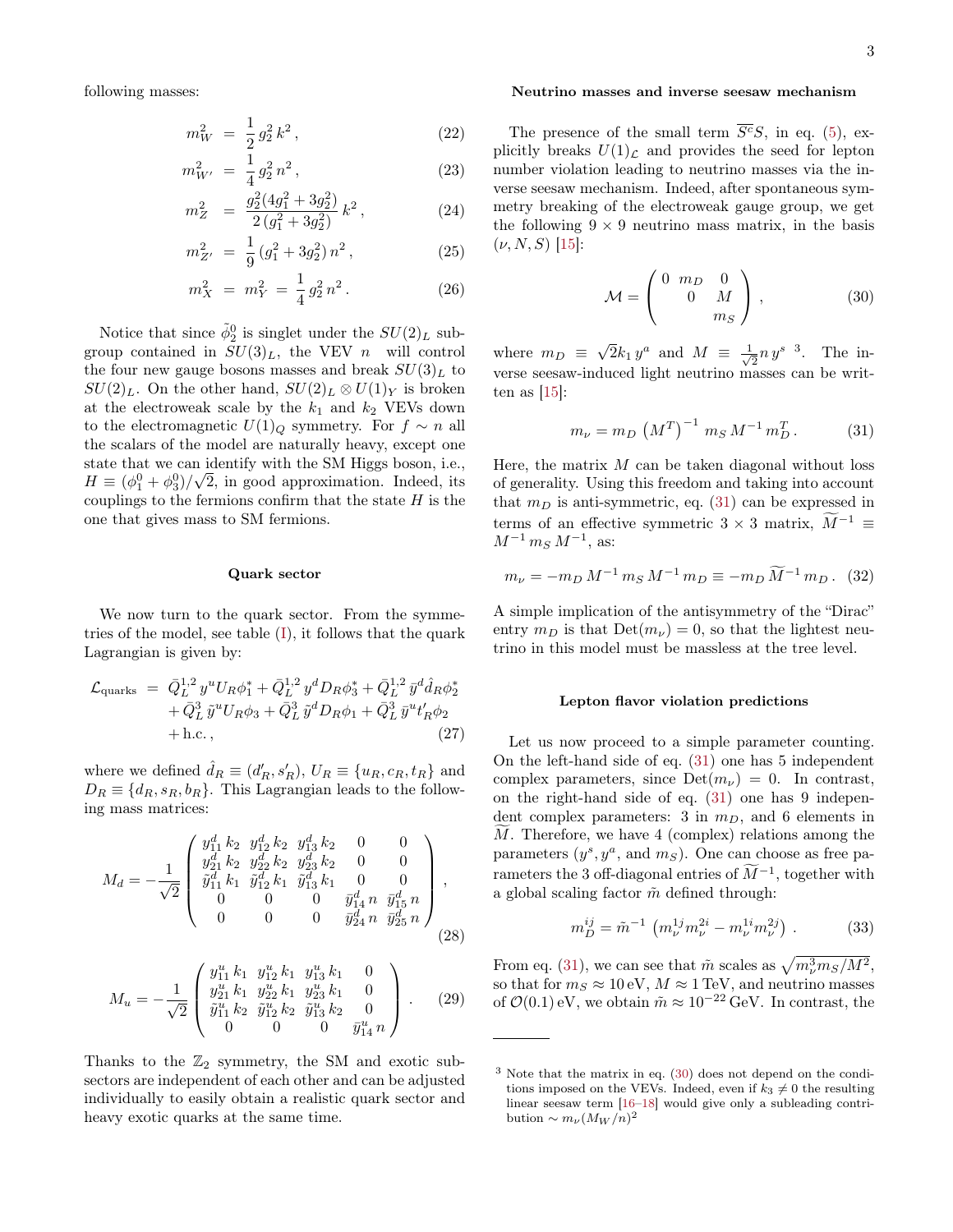following masses:

$$
m_W^2 = \frac{1}{2} g_2^2 k^2, \qquad (22)
$$

$$
m_{W'}^2 = \frac{1}{4} g_2^2 n^2, \qquad (23)
$$

$$
m_Z^2 = \frac{g_2^2(4g_1^2 + 3g_2^2)}{2(g_1^2 + 3g_2^2)} k^2, \tag{24}
$$

$$
m_{Z'}^2 = \frac{1}{9} \left( g_1^2 + 3g_2^2 \right) n^2, \tag{25}
$$

$$
m_X^2 = m_Y^2 = \frac{1}{4} g_2^2 n^2.
$$
 (26)

Notice that since  $\tilde{\phi}_2^0$  is singlet under the  $SU(2)_L$  subgroup contained in  $SU(3)_L$ , the VEV n will control the four new gauge bosons masses and break  $SU(3)_L$  to  $SU(2)_L$ . On the other hand,  $SU(2)_L \otimes U(1)_Y$  is broken at the electroweak scale by the  $k_1$  and  $k_2$  VEVs down to the electromagnetic  $U(1)<sub>Q</sub>$  symmetry. For  $f \sim n$  all the scalars of the model are naturally heavy, except one state that we can identify with the SM Higgs boson, i.e.,  $H \equiv (\phi_1^0 + \phi_3^0)/\sqrt{2}$ , in good approximation. Indeed, its couplings to the fermions confirm that the state  $H$  is the one that gives mass to SM fermions.

#### Quark sector

We now turn to the quark sector. From the symmetries of the model, see table  $(I)$ , it follows that the quark Lagrangian is given by:

$$
\mathcal{L}_{\text{quarks}} = \bar{Q}_L^{1,2} y^u U_R \phi_1^* + \bar{Q}_L^{1,2} y^d D_R \phi_3^* + \bar{Q}_L^{1,2} \bar{y}^d \hat{d}_R \phi_2^* \n+ \bar{Q}_L^3 \tilde{y}^u U_R \phi_3 + \bar{Q}_L^3 \tilde{y}^d D_R \phi_1 + \bar{Q}_L^3 \bar{y}^u t_R' \phi_2 \n+ \text{h.c.},
$$
\n(27)

where we defined  $\hat{d}_R \equiv (d'_R, s'_R)$ ,  $U_R \equiv \{u_R, c_R, t_R\}$  and  $D_R \equiv \{d_R, s_R, b_R\}$ . This Lagrangian leads to the following mass matrices:

$$
M_d = -\frac{1}{\sqrt{2}} \begin{pmatrix} y_{11}^d k_2 & y_{12}^d k_2 & y_{13}^d k_2 & 0 & 0 \\ y_{21}^d k_2 & y_{22}^d k_2 & y_{23}^d k_2 & 0 & 0 \\ \tilde{y}_{11}^d k_1 & \tilde{y}_{12}^d k_1 & \tilde{y}_{13}^d k_1 & 0 & 0 \\ 0 & 0 & 0 & \tilde{y}_{14}^d n & \tilde{y}_{15}^d n \\ 0 & 0 & 0 & \tilde{y}_{24}^d n & \tilde{y}_{25}^d n \end{pmatrix},
$$
\n(28)

$$
M_u = -\frac{1}{\sqrt{2}} \begin{pmatrix} y_{11}^u k_1 & y_{12}^u k_1 & y_{13}^u k_1 & 0\\ y_{21}^u k_1 & y_{22}^u k_1 & y_{23}^u k_1 & 0\\ \tilde{y}_{11}^u k_2 & \tilde{y}_{12}^u k_2 & \tilde{y}_{13}^u k_2 & 0\\ 0 & 0 & 0 & \tilde{y}_{14}^u n \end{pmatrix} .
$$
 (29)

Thanks to the  $\mathbb{Z}_2$  symmetry, the SM and exotic subsectors are independent of each other and can be adjusted individually to easily obtain a realistic quark sector and heavy exotic quarks at the same time.

#### Neutrino masses and inverse seesaw mechanism

The presence of the small term  $\overline{S^c}S$ , in eq. [\(5\)](#page-1-1), explicitly breaks  $U(1)<sub>L</sub>$  and provides the seed for lepton number violation leading to neutrino masses via the inverse seesaw mechanism. Indeed, after spontaneous symmetry breaking of the electroweak gauge group, we get the following  $9 \times 9$  neutrino mass matrix, in the basis  $(\nu, N, S)$  [\[15\]](#page-5-17):

<span id="page-2-1"></span>
$$
\mathcal{M} = \begin{pmatrix} 0 & m_D & 0 \\ 0 & M \\ m_S & \end{pmatrix},\tag{30}
$$

where  $m_D \equiv$ √  $\overline{2}k_1y^a$  and  $M \equiv \frac{1}{\sqrt{2}}$  $\frac{1}{2}n y^{s}$ <sup>3</sup>. The inverse seesaw-induced light neutrino masses can be written as  $[15]$ :

<span id="page-2-0"></span>
$$
m_{\nu} = m_D \left( M^T \right)^{-1} m_S M^{-1} m_D^T. \tag{31}
$$

Here, the matrix  $M$  can be taken diagonal without loss of generality. Using this freedom and taking into account that  $m_D$  is anti-symmetric, eq. [\(31\)](#page-2-0) can be expressed in terms of an effective symmetric  $3 \times 3$  matrix,  $\widetilde{M}^{-1} \equiv$  $M^{-1} m_S M^{-1}$ , as:

<span id="page-2-3"></span>
$$
m_{\nu} = -m_D M^{-1} m_S M^{-1} m_D \equiv -m_D \widetilde{M}^{-1} m_D. \tag{32}
$$

A simple implication of the antisymmetry of the "Dirac" entry  $m_D$  is that  $Det(m_{\nu}) = 0$ , so that the lightest neutrino in this model must be massless at the tree level.

#### Lepton flavor violation predictions

Let us now proceed to a simple parameter counting. On the left-hand side of eq. [\(31\)](#page-2-0) one has 5 independent complex parameters, since  $Det(m_{\nu}) = 0$ . In contrast, on the right-hand side of eq. [\(31\)](#page-2-0) one has 9 independent complex parameters: 3 in  $m_D$ , and 6 elements in  $M$ . Therefore, we have 4 (complex) relations among the parameters  $(y^s, y^a, \text{ and } m_S)$ . One can choose as free parameters the 3 off-diagonal entries of  $\tilde{M}^{-1}$ , together with a global scaling factor  $\tilde{m}$  defined through:

<span id="page-2-2"></span>
$$
m_D^{ij} = \tilde{m}^{-1} \left( m_\nu^{1j} m_\nu^{2i} - m_\nu^{1i} m_\nu^{2j} \right) . \tag{33}
$$

From eq. [\(31\)](#page-2-0), we can see that  $\tilde{m}$  scales as  $\sqrt{m_{\nu}^3 m_S/M^2}$ , so that for  $m_S \approx 10 \text{ eV}$ ,  $M \approx 1 \text{ TeV}$ , and neutrino masses of  $\mathcal{O}(0.1)$  eV, we obtain  $\tilde{m} \approx 10^{-22}$  GeV. In contrast, the

<sup>3</sup> Note that the matrix in eq. [\(30\)](#page-2-1) does not depend on the conditions imposed on the VEVs. Indeed, even if  $k_3 \neq 0$  the resulting linear seesaw term [\[16](#page-5-18)[–18\]](#page-6-0) would give only a subleading contribution ~  $m_{\nu} (M_W/n)^2$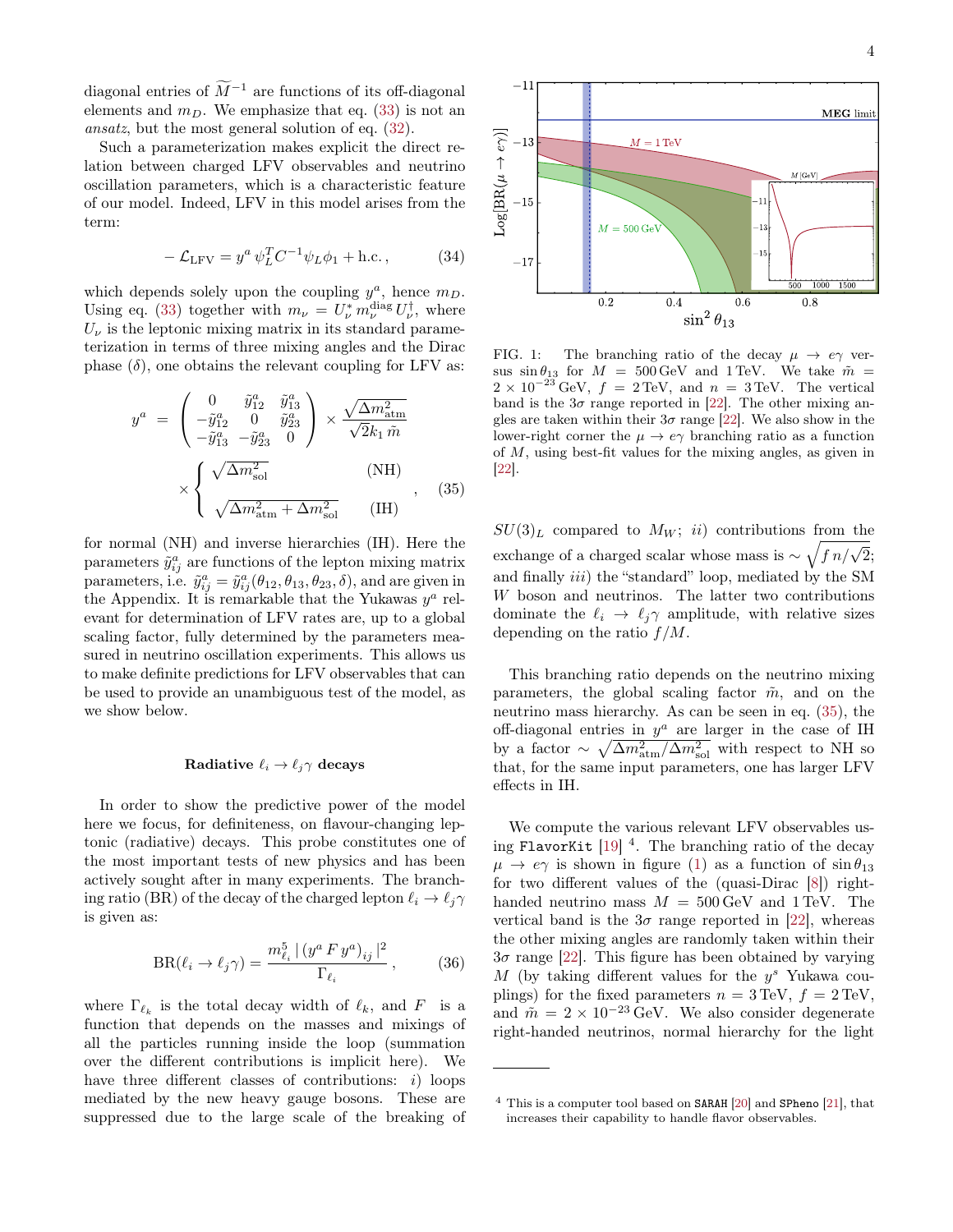diagonal entries of  $\widetilde{M}^{-1}$  are functions of its off-diagonal elements and  $m_D$ . We emphasize that eq. [\(33\)](#page-2-2) is not an ansatz, but the most general solution of eq. [\(32\)](#page-2-3).

Such a parameterization makes explicit the direct relation between charged LFV observables and neutrino oscillation parameters, which is a characteristic feature of our model. Indeed, LFV in this model arises from the term:

$$
-\mathcal{L}_{LFV} = y^a \psi_L^T C^{-1} \psi_L \phi_1 + \text{h.c.},\tag{34}
$$

which depends solely upon the coupling  $y^a$ , hence  $m_D$ . Using eq. [\(33\)](#page-2-2) together with  $m_{\nu} = U_{\nu}^* m_{\nu}^{\text{diag}} U_{\nu}^{\dagger}$ , where  $U_{\nu}$  is the leptonic mixing matrix in its standard parameterization in terms of three mixing angles and the Dirac phase  $(\delta)$ , one obtains the relevant coupling for LFV as:

<span id="page-3-0"></span>
$$
y^{a} = \begin{pmatrix} 0 & \tilde{y}_{12}^{a} & \tilde{y}_{13}^{a} \\ -\tilde{y}_{12}^{a} & 0 & \tilde{y}_{23}^{a} \\ -\tilde{y}_{13}^{a} & -\tilde{y}_{23}^{a} & 0 \end{pmatrix} \times \frac{\sqrt{\Delta m_{\text{atm}}^{2}}}{\sqrt{2k_{1} \tilde{m}}}
$$

$$
\times \begin{cases} \sqrt{\Delta m_{\text{sol}}^{2}} & (\text{NH}) \\ \sqrt{\Delta m_{\text{atm}}^{2} + \Delta m_{\text{sol}}^{2}} & (\text{IH}) \end{cases}, (35)
$$

for normal (NH) and inverse hierarchies (IH). Here the parameters  $\tilde{y}_{ij}^a$  are functions of the lepton mixing matrix parameters, i.e.  $\tilde{y}_{ij}^a = \tilde{y}_{ij}^a(\theta_{12}, \theta_{13}, \theta_{23}, \delta)$ , and are given in the Appendix. It is remarkable that the Yukawas  $y^a$  relevant for determination of LFV rates are, up to a global scaling factor, fully determined by the parameters measured in neutrino oscillation experiments. This allows us to make definite predictions for LFV observables that can be used to provide an unambiguous test of the model, as we show below.

## Radiative  $\ell_i \to \ell_j \gamma$  decays

In order to show the predictive power of the model here we focus, for definiteness, on flavour-changing leptonic (radiative) decays. This probe constitutes one of the most important tests of new physics and has been actively sought after in many experiments. The branching ratio (BR) of the decay of the charged lepton  $\ell_i \to \ell_j \gamma$ is given as:

<span id="page-3-2"></span>
$$
BR(\ell_i \to \ell_j \gamma) = \frac{m_{\ell_i}^5 | (y^a F y^a)_{ij}|^2}{\Gamma_{\ell_i}}, \qquad (36)
$$

where  $\Gamma_{\ell_k}$  is the total decay width of  $\ell_k$ , and F is a function that depends on the masses and mixings of all the particles running inside the loop (summation over the different contributions is implicit here). We have three different classes of contributions:  $i)$  loops mediated by the new heavy gauge bosons. These are suppressed due to the large scale of the breaking of



<span id="page-3-1"></span>FIG. 1: The branching ratio of the decay  $\mu \to e\gamma$  versus  $\sin \theta_{13}$  for  $M = 500 \,\text{GeV}$  and 1 TeV. We take  $\tilde{m} =$  $2 \times 10^{-23}$  GeV,  $f = 2 \text{TeV}$ , and  $n = 3 \text{TeV}$ . The vertical band is the  $3\sigma$  range reported in [\[22\]](#page-6-1). The other mixing angles are taken within their  $3\sigma$  range [\[22\]](#page-6-1). We also show in the lower-right corner the  $\mu \to e\gamma$  branching ratio as a function of M, using best-fit values for the mixing angles, as given in [\[22\]](#page-6-1).

 $SU(3)_L$  compared to  $M_W$ ; ii) contributions from the exchange of a charged scalar whose mass is ~  $\sqrt{\frac{f n}{\sqrt{2}}}$ ; and finally  $iii)$  the "standard" loop, mediated by the SM W boson and neutrinos. The latter two contributions dominate the  $\ell_i \to \ell_j \gamma$  amplitude, with relative sizes depending on the ratio  $f/M$ .

This branching ratio depends on the neutrino mixing parameters, the global scaling factor  $\tilde{m}$ , and on the neutrino mass hierarchy. As can be seen in eq. [\(35\)](#page-3-0), the off-diagonal entries in  $y^a$  are larger in the case of IH by a factor  $\sim \sqrt{\Delta m_{\text{atm}}^2/\Delta m_{\text{sol}}^2}$  with respect to NH so that, for the same input parameters, one has larger LFV effects in IH.

We compute the various relevant LFV observables using FlavorKit  $[19]$ <sup>4</sup>. The branching ratio of the decay  $\mu \to e\gamma$  is shown in figure [\(1\)](#page-3-1) as a function of  $\sin \theta_{13}$ for two different values of the (quasi-Dirac [\[8\]](#page-5-10)) righthanded neutrino mass  $M = 500 \,\text{GeV}$  and 1 TeV. The vertical band is the  $3\sigma$  range reported in [\[22\]](#page-6-1), whereas the other mixing angles are randomly taken within their  $3\sigma$  range [\[22\]](#page-6-1). This figure has been obtained by varying M (by taking different values for the  $y^s$  Yukawa couplings) for the fixed parameters  $n = 3 \text{TeV}$ ,  $f = 2 \text{TeV}$ , and  $\tilde{m} = 2 \times 10^{-23} \text{ GeV}$ . We also consider degenerate right-handed neutrinos, normal hierarchy for the light

 $4$  This is a computer tool based on SARAH [\[20\]](#page-6-3) and SPheno [\[21\]](#page-6-4), that increases their capability to handle flavor observables.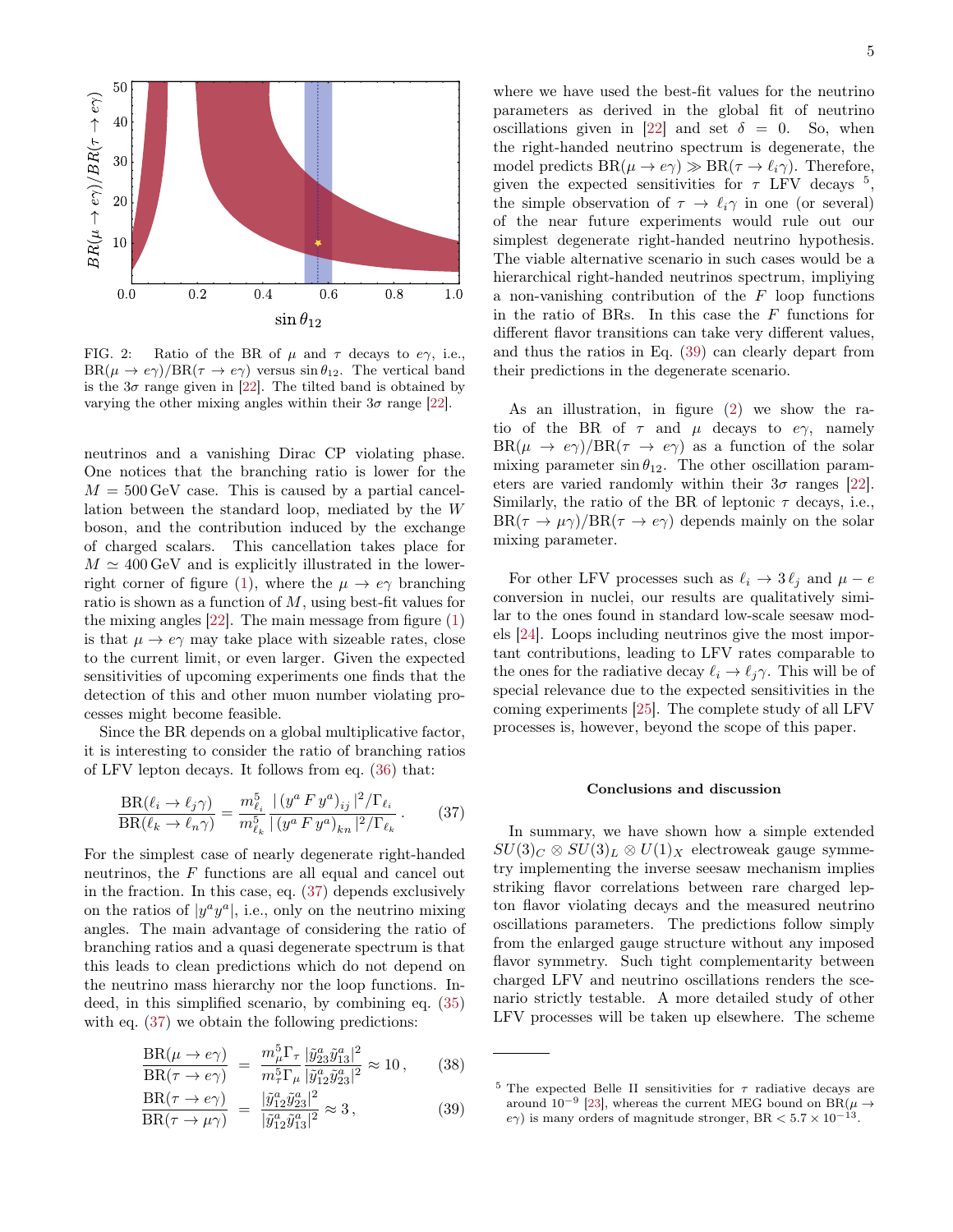

<span id="page-4-2"></span>FIG. 2: Ratio of the BR of  $\mu$  and  $\tau$  decays to  $e\gamma$ , i.e.,  $BR(\mu \to e\gamma)/BR(\tau \to e\gamma)$  versus  $\sin \theta_{12}$ . The vertical band is the  $3\sigma$  range given in [\[22\]](#page-6-1). The tilted band is obtained by varying the other mixing angles within their  $3\sigma$  range [\[22\]](#page-6-1).

neutrinos and a vanishing Dirac CP violating phase. One notices that the branching ratio is lower for the  $M = 500 \,\text{GeV}$  case. This is caused by a partial cancellation between the standard loop, mediated by the W boson, and the contribution induced by the exchange of charged scalars. This cancellation takes place for  $M \simeq 400 \,\text{GeV}$  and is explicitly illustrated in the lower-right corner of figure [\(1\)](#page-3-1), where the  $\mu \to e\gamma$  branching ratio is shown as a function of M, using best-fit values for the mixing angles  $[22]$ . The main message from figure  $(1)$ is that  $\mu \to e\gamma$  may take place with sizeable rates, close to the current limit, or even larger. Given the expected sensitivities of upcoming experiments one finds that the detection of this and other muon number violating processes might become feasible.

Since the BR depends on a global multiplicative factor, it is interesting to consider the ratio of branching ratios of LFV lepton decays. It follows from eq. [\(36\)](#page-3-2) that:

<span id="page-4-0"></span>
$$
\frac{\text{BR}(\ell_i \to \ell_j \gamma)}{\text{BR}(\ell_k \to \ell_n \gamma)} = \frac{m_{\ell_i}^5}{m_{\ell_k}^5} \frac{|\left(y^a F y^a\right)_{ij}|^2 / \Gamma_{\ell_i}}{|\left(y^a F y^a\right)_{kn}|^2 / \Gamma_{\ell_k}}.
$$
 (37)

For the simplest case of nearly degenerate right-handed neutrinos, the F functions are all equal and cancel out in the fraction. In this case, eq. [\(37\)](#page-4-0) depends exclusively on the ratios of  $|y^a y^a|$ , i.e., only on the neutrino mixing angles. The main advantage of considering the ratio of branching ratios and a quasi degenerate spectrum is that this leads to clean predictions which do not depend on the neutrino mass hierarchy nor the loop functions. Indeed, in this simplified scenario, by combining eq. [\(35\)](#page-3-0) with eq.  $(37)$  we obtain the following predictions:

$$
\frac{\text{BR}(\mu \to e\gamma)}{\text{BR}(\tau \to e\gamma)} = \frac{m_{\mu}^{5} \Gamma_{\tau}}{m_{\tau}^{5} \Gamma_{\mu}} \frac{|\tilde{y}_{23}^{a}\tilde{y}_{13}^{a}|^{2}}{|\tilde{y}_{12}^{a}\tilde{y}_{23}^{a}|^{2}} \approx 10\,,\qquad(38)
$$

<span id="page-4-1"></span>
$$
\frac{\text{BR}(\tau \to e\gamma)}{\text{BR}(\tau \to \mu \gamma)} = \frac{|\tilde{y}_{12}^a \tilde{y}_{23}^a|^2}{|\tilde{y}_{12}^a \tilde{y}_{13}^a|^2} \approx 3, \tag{39}
$$

where we have used the best-fit values for the neutrino parameters as derived in the global fit of neutrino oscillations given in [\[22\]](#page-6-1) and set  $\delta = 0$ . So, when the right-handed neutrino spectrum is degenerate, the model predicts  $BR(\mu \to e\gamma) \gg BR(\tau \to \ell_i \gamma)$ . Therefore, given the expected sensitivities for  $\tau$  LFV decays  $^5$ , the simple observation of  $\tau \to \ell_i \gamma$  in one (or several) of the near future experiments would rule out our simplest degenerate right-handed neutrino hypothesis. The viable alternative scenario in such cases would be a hierarchical right-handed neutrinos spectrum, impliying a non-vanishing contribution of the  $F$  loop functions in the ratio of BRs. In this case the F functions for different flavor transitions can take very different values, and thus the ratios in Eq. [\(39\)](#page-4-1) can clearly depart from their predictions in the degenerate scenario.

As an illustration, in figure [\(2\)](#page-4-2) we show the ratio of the BR of  $\tau$  and  $\mu$  decays to  $e\gamma$ , namely  $BR(\mu \to e\gamma)/BR(\tau \to e\gamma)$  as a function of the solar mixing parameter  $\sin \theta_{12}$ . The other oscillation parameters are varied randomly within their  $3\sigma$  ranges [\[22\]](#page-6-1). Similarly, the ratio of the BR of leptonic  $\tau$  decays, i.e.,  $BR(\tau \to \mu \gamma)/BR(\tau \to e \gamma)$  depends mainly on the solar mixing parameter.

For other LFV processes such as  $\ell_i \to 3 \ell_j$  and  $\mu - e$ conversion in nuclei, our results are qualitatively similar to the ones found in standard low-scale seesaw models [\[24\]](#page-6-5). Loops including neutrinos give the most important contributions, leading to LFV rates comparable to the ones for the radiative decay  $\ell_i \to \ell_i \gamma$ . This will be of special relevance due to the expected sensitivities in the coming experiments [\[25\]](#page-6-6). The complete study of all LFV processes is, however, beyond the scope of this paper.

### Conclusions and discussion

In summary, we have shown how a simple extended  $SU(3)_C \otimes SU(3)_L \otimes U(1)_X$  electroweak gauge symmetry implementing the inverse seesaw mechanism implies striking flavor correlations between rare charged lepton flavor violating decays and the measured neutrino oscillations parameters. The predictions follow simply from the enlarged gauge structure without any imposed flavor symmetry. Such tight complementarity between charged LFV and neutrino oscillations renders the scenario strictly testable. A more detailed study of other LFV processes will be taken up elsewhere. The scheme

<sup>&</sup>lt;sup>5</sup> The expected Belle II sensitivities for  $\tau$  radiative decays are around 10<sup>-9</sup> [\[23\]](#page-6-7), whereas the current MEG bound on BR( $\mu \rightarrow$  $e\gamma$ ) is many orders of magnitude stronger, BR  $< 5.7 \times 10^{-13}$ .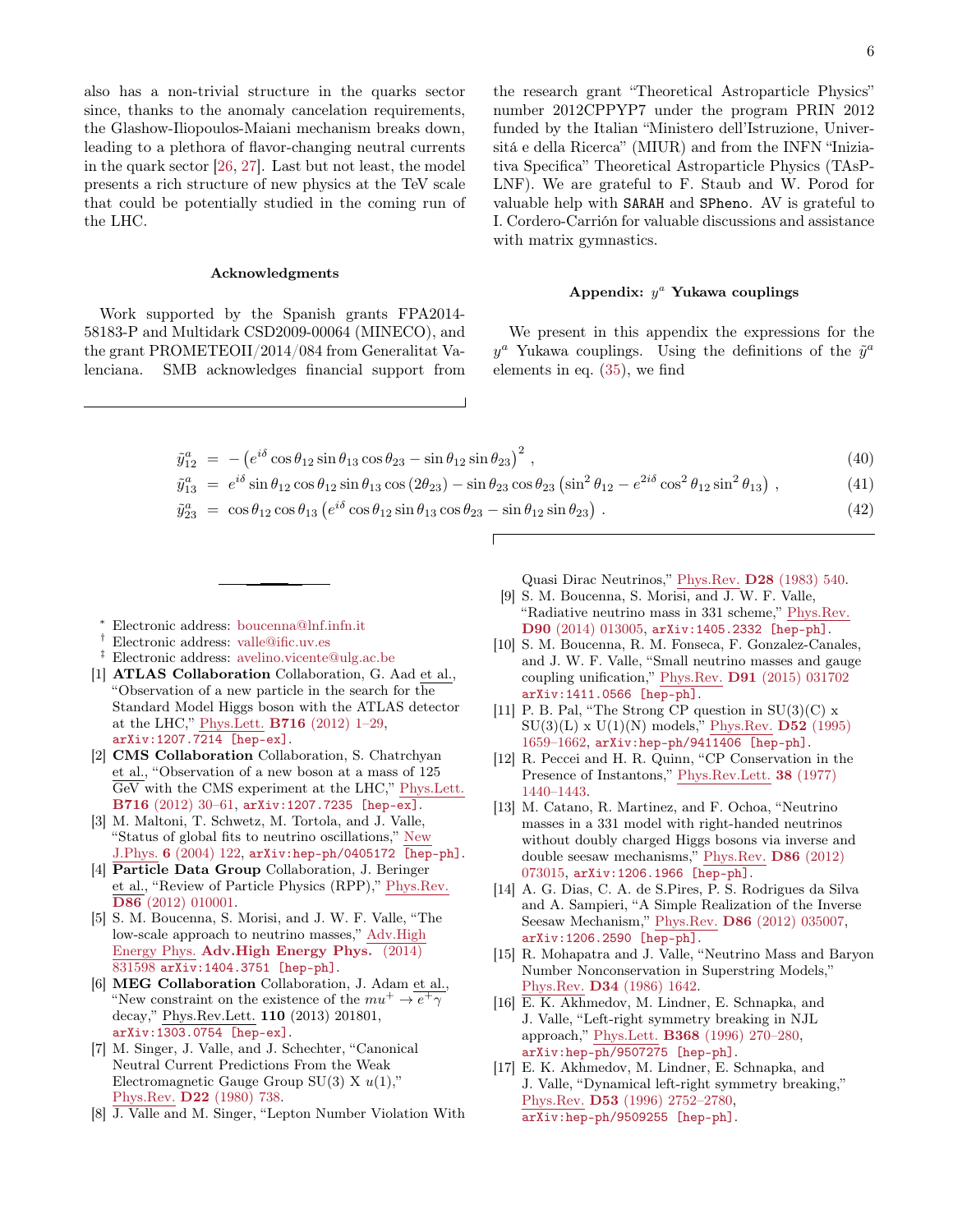also has a non-trivial structure in the quarks sector since, thanks to the anomaly cancelation requirements, the Glashow-Iliopoulos-Maiani mechanism breaks down, leading to a plethora of flavor-changing neutral currents in the quark sector [\[26,](#page-6-8) [27\]](#page-6-9). Last but not least, the model presents a rich structure of new physics at the TeV scale that could be potentially studied in the coming run of the LHC.

#### Acknowledgments

Work supported by the Spanish grants FPA2014- 58183-P and Multidark CSD2009-00064 (MINECO), and the grant PROMETEOII/2014/084 from Generalitat Valenciana. SMB acknowledges financial support from

the research grant "Theoretical Astroparticle Physics" number 2012CPPYP7 under the program PRIN 2012 funded by the Italian "Ministero dell'Istruzione, Universitá e della Ricerca" (MIUR) and from the INFN "Iniziativa Specifica" Theoretical Astroparticle Physics (TAsP-LNF). We are grateful to F. Staub and W. Porod for valuable help with SARAH and SPheno. AV is grateful to I. Cordero-Carrión for valuable discussions and assistance with matrix gymnastics.

# Appendix:  $y^a$  Yukawa couplings

We present in this appendix the expressions for the  $y^a$  Yukawa couplings. Using the definitions of the  $\tilde{y}^a$ elements in eq. [\(35\)](#page-3-0), we find

$$
\tilde{y}_{12}^a = -\left(e^{i\delta}\cos\theta_{12}\sin\theta_{13}\cos\theta_{23} - \sin\theta_{12}\sin\theta_{23}\right)^2, \tag{40}
$$

$$
\tilde{y}_{13}^a = e^{i\delta} \sin \theta_{12} \cos \theta_{12} \sin \theta_{13} \cos (2\theta_{23}) - \sin \theta_{23} \cos \theta_{23} (\sin^2 \theta_{12} - e^{2i\delta} \cos^2 \theta_{12} \sin^2 \theta_{13}),
$$
\n(41)

- $\tilde{y}_{23}^a = \cos \theta_{12} \cos \theta_{13} (e^{i\delta} \cos \theta_{12} \sin \theta_{13} \cos \theta_{23} \sin \theta_{12} \sin \theta_{23})$ .  $(42)$
- <span id="page-5-0"></span><sup>∗</sup> Electronic address: [boucenna@lnf.infn.it](mailto:boucenna@lnf.infn.it)
- <span id="page-5-1"></span>† Electronic address: [valle@ific.uv.es](mailto:valle@ific.uv.es)
- <span id="page-5-2"></span>‡ Electronic address: [avelino.vicente@ulg.ac.be](mailto:avelino.vicente@ulg.ac.be)
- <span id="page-5-3"></span>[1] **ATLAS Collaboration** Collaboration, G. Aad et al., "Observation of a new particle in the search for the Standard Model Higgs boson with the ATLAS detector at the LHC," Phys.Lett. B716 [\(2012\) 1–29,](http://dx.doi.org/10.1016/j.physletb.2012.08.020) [arXiv:1207.7214 \[hep-ex\]](http://arxiv.org/abs/1207.7214).
- <span id="page-5-4"></span>[2] CMS Collaboration Collaboration, S. Chatrchyan et al., "Observation of a new boson at a mass of 125 GeV with the CMS experiment at the LHC," [Phys.Lett.](http://dx.doi.org/10.1016/j.physletb.2012.08.021) B716 [\(2012\) 30–61,](http://dx.doi.org/10.1016/j.physletb.2012.08.021) [arXiv:1207.7235 \[hep-ex\]](http://arxiv.org/abs/1207.7235).
- <span id="page-5-5"></span>[3] M. Maltoni, T. Schwetz, M. Tortola, and J. Valle, "Status of global fits to neutrino oscillations," [New](http://dx.doi.org/10.1088/1367-2630/6/1/122) J.Phys. 6 [\(2004\) 122,](http://dx.doi.org/10.1088/1367-2630/6/1/122) [arXiv:hep-ph/0405172 \[hep-ph\]](http://arxiv.org/abs/hep-ph/0405172).
- <span id="page-5-6"></span>[4] Particle Data Group Collaboration, J. Beringer et al., "Review of Particle Physics (RPP)," [Phys.Rev.](http://dx.doi.org/10.1103/PhysRevD.86.010001) D86 [\(2012\) 010001.](http://dx.doi.org/10.1103/PhysRevD.86.010001)
- <span id="page-5-7"></span>[5] S. M. Boucenna, S. Morisi, and J. W. F. Valle, "The low-scale approach to neutrino masses," [Adv.High](http://dx.doi.org/10.1155/2014/831598) Energy Phys. [Adv.High Energy Phys.](http://dx.doi.org/10.1155/2014/831598) (2014) [831598](http://dx.doi.org/10.1155/2014/831598) [arXiv:1404.3751 \[hep-ph\]](http://arxiv.org/abs/1404.3751).
- <span id="page-5-8"></span>[6] MEG Collaboration Collaboration, J. Adam et al., "New constraint on the existence of the  $mu^+ \rightarrow \overline{e^+ \gamma}$ decay," Phys.Rev.Lett. 110 (2013) 201801, [arXiv:1303.0754 \[hep-ex\]](http://arxiv.org/abs/1303.0754).
- <span id="page-5-9"></span>[7] M. Singer, J. Valle, and J. Schechter, "Canonical Neutral Current Predictions From the Weak Electromagnetic Gauge Group SU(3) X  $u(1)$ ," Phys.Rev. D22 [\(1980\) 738.](http://dx.doi.org/10.1103/PhysRevD.22.738)
- <span id="page-5-10"></span>[8] J. Valle and M. Singer, "Lepton Number Violation With

Quasi Dirac Neutrinos," Phys.Rev. D28 [\(1983\) 540.](http://dx.doi.org/10.1103/PhysRevD.28.540)

- <span id="page-5-11"></span>[9] S. M. Boucenna, S. Morisi, and J. W. F. Valle, "Radiative neutrino mass in 331 scheme," [Phys.Rev.](http://dx.doi.org/10.1103/PhysRevD.90.013005) D90 [\(2014\) 013005,](http://dx.doi.org/10.1103/PhysRevD.90.013005) [arXiv:1405.2332 \[hep-ph\]](http://arxiv.org/abs/1405.2332).
- <span id="page-5-12"></span>[10] S. M. Boucenna, R. M. Fonseca, F. Gonzalez-Canales, and J. W. F. Valle, "Small neutrino masses and gauge coupling unification," Phys.Rev. D91 [\(2015\) 031702](http://dx.doi.org/10.1103/PhysRevD.91.031702) [arXiv:1411.0566 \[hep-ph\]](http://arxiv.org/abs/1411.0566).
- <span id="page-5-13"></span>[11] P. B. Pal, "The Strong CP question in  $SU(3)(C)$  x  $SU(3)(L)$  x  $U(1)(N)$  models," Phys. Rev. **D52** (1995) [1659–1662,](http://dx.doi.org/10.1103/PhysRevD.52.1659) [arXiv:hep-ph/9411406 \[hep-ph\]](http://arxiv.org/abs/hep-ph/9411406).
- <span id="page-5-14"></span>[12] R. Peccei and H. R. Quinn, "CP Conservation in the Presence of Instantons," [Phys.Rev.Lett.](http://dx.doi.org/10.1103/PhysRevLett.38.1440) 38 (1977) [1440–1443.](http://dx.doi.org/10.1103/PhysRevLett.38.1440)
- <span id="page-5-15"></span>[13] M. Catano, R. Martinez, and F. Ochoa, "Neutrino masses in a 331 model with right-handed neutrinos without doubly charged Higgs bosons via inverse and double seesaw mechanisms," [Phys.Rev.](http://dx.doi.org/10.1103/PhysRevD.86.073015) D86 (2012) [073015,](http://dx.doi.org/10.1103/PhysRevD.86.073015) [arXiv:1206.1966 \[hep-ph\]](http://arxiv.org/abs/1206.1966).
- <span id="page-5-16"></span>[14] A. G. Dias, C. A. de S.Pires, P. S. Rodrigues da Silva and A. Sampieri, "A Simple Realization of the Inverse Seesaw Mechanism," Phys.Rev. D86 [\(2012\) 035007,](http://dx.doi.org/10.1103/PhysRevD.86.035007) [arXiv:1206.2590 \[hep-ph\]](http://arxiv.org/abs/1206.2590).
- <span id="page-5-17"></span>[15] R. Mohapatra and J. Valle, "Neutrino Mass and Baryon Number Nonconservation in Superstring Models," Phys.Rev. D34 [\(1986\) 1642.](http://dx.doi.org/10.1103/PhysRevD.34.1642)
- <span id="page-5-18"></span>[16] E. K. Akhmedov, M. Lindner, E. Schnapka, and J. Valle, "Left-right symmetry breaking in NJL approach," Phys.Lett. B368 [\(1996\) 270–280,](http://dx.doi.org/10.1016/0370-2693(95)01504-3) [arXiv:hep-ph/9507275 \[hep-ph\]](http://arxiv.org/abs/hep-ph/9507275).
- [17] E. K. Akhmedov, M. Lindner, E. Schnapka, and J. Valle, "Dynamical left-right symmetry breaking," Phys.Rev. D53 [\(1996\) 2752–2780,](http://dx.doi.org/10.1103/PhysRevD.53.2752) [arXiv:hep-ph/9509255 \[hep-ph\]](http://arxiv.org/abs/hep-ph/9509255).